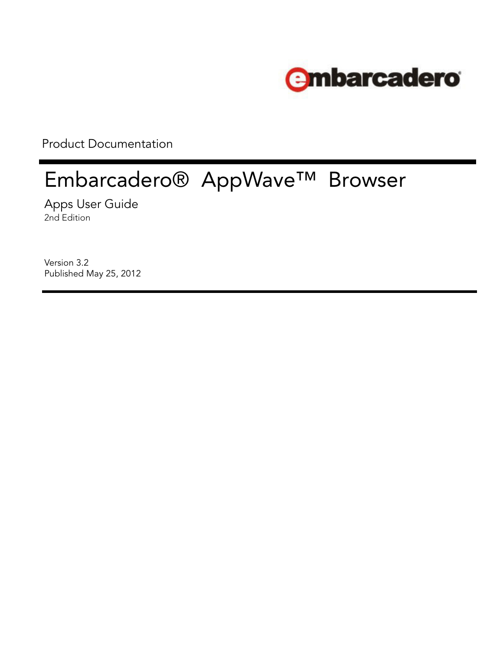

Product Documentation

# Embarcadero® AppWave™ Browser

Apps User Guide 2nd Edition

Version 3.2 Published May 25, 2012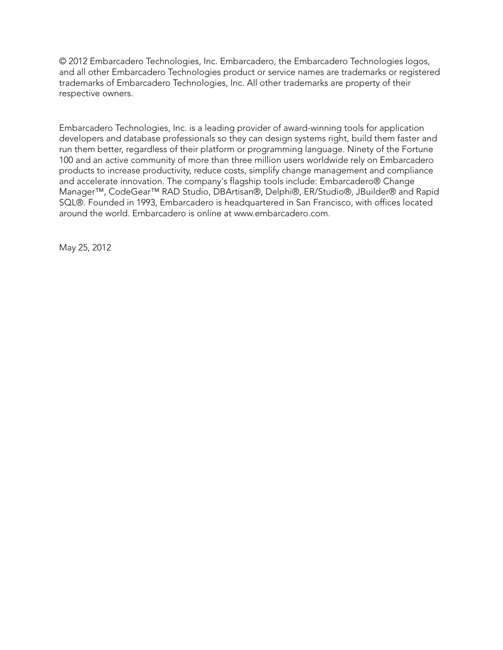© 2012 Embarcadero Technologies, Inc. Embarcadero, the Embarcadero Technologies logos, and all other Embarcadero Technologies product or service names are trademarks or registered trademarks of Embarcadero Technologies, Inc. All other trademarks are property of their respective owners.

Embarcadero Technologies, Inc. is a leading provider of award-winning tools for application developers and database professionals so they can design systems right, build them faster and run them better, regardless of their platform or programming language. Ninety of the Fortune 100 and an active community of more than three million users worldwide rely on Embarcadero products to increase productivity, reduce costs, simplify change management and compliance and accelerate innovation. The company's flagship tools include: Embarcadero® Change Manager™, CodeGear™ RAD Studio, DBArtisan®, Delphi®, ER/Studio®, JBuilder® and Rapid SQL®. Founded in 1993, Embarcadero is headquartered in San Francisco, with offices located around the world. Embarcadero is online at www.embarcadero.com.

May 25, 2012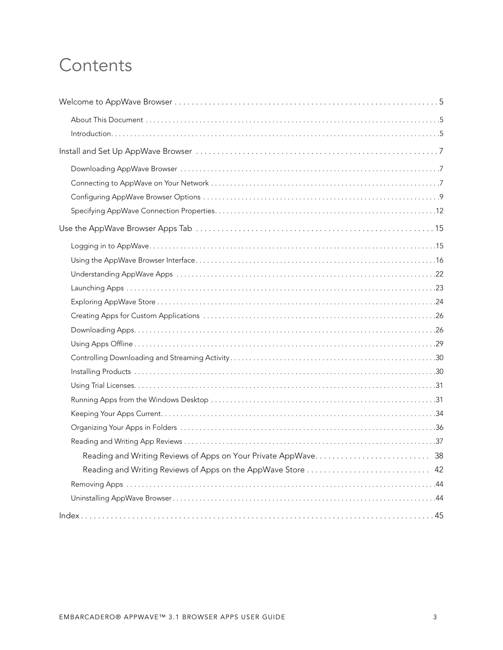## **Contents**

| Reading and Writing Reviews of Apps on the AppWave Store  42 |
|--------------------------------------------------------------|
|                                                              |
|                                                              |
|                                                              |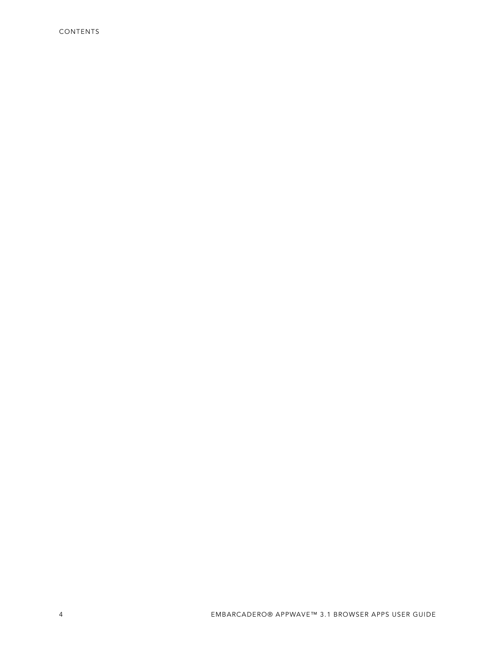CONTENTS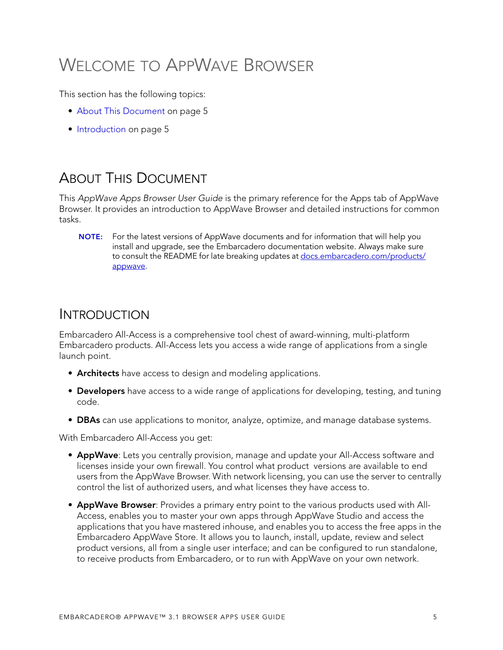## <span id="page-4-0"></span>WELCOME TO APPWAVE BROWSER

This section has the following topics:

- [About This Document on page 5](#page-4-1)
- [Introduction on page 5](#page-4-2)

### <span id="page-4-1"></span>ABOUT THIS DOCUMENT

This AppWave Apps Browser User Guide is the primary reference for the Apps tab of AppWave Browser. It provides an introduction to AppWave Browser and detailed instructions for common tasks.

**NOTE:** For the latest versions of AppWave documents and for information that will help you install and upgrade, see the Embarcadero documentation website. Always make sure to consult the README for late breaking updates at [docs.embarcadero.com/products/](http://docs.embarcadero.com/products/appwave) [appwave](http://docs.embarcadero.com/products/appwave).

### <span id="page-4-2"></span>INTRODUCTION

Embarcadero All-Access is a comprehensive tool chest of award-winning, multi-platform Embarcadero products. All-Access lets you access a wide range of applications from a single launch point.

- **Architects** have access to design and modeling applications.
- **Developers** have access to a wide range of applications for developing, testing, and tuning code.
- **DBAs** can use applications to monitor, analyze, optimize, and manage database systems.

With Embarcadero All-Access you get:

- **AppWave**: Lets you centrally provision, manage and update your All-Access software and licenses inside your own firewall. You control what product versions are available to end users from the AppWave Browser. With network licensing, you can use the server to centrally control the list of authorized users, and what licenses they have access to.
- **AppWave Browser**: Provides a primary entry point to the various products used with All-Access, enables you to master your own apps through AppWave Studio and access the applications that you have mastered inhouse, and enables you to access the free apps in the Embarcadero AppWave Store. It allows you to launch, install, update, review and select product versions, all from a single user interface; and can be configured to run standalone, to receive products from Embarcadero, or to run with AppWave on your own network.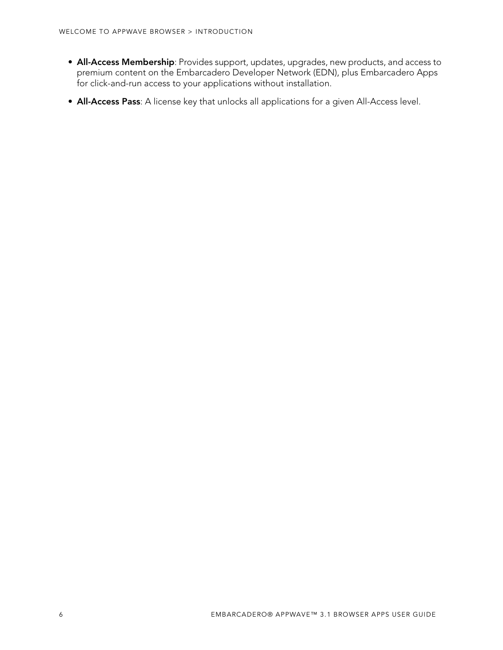- <span id="page-5-0"></span>• **All-Access Membership**: Provides support, updates, upgrades, new products, and access to premium content on the Embarcadero Developer Network (EDN), plus Embarcadero Apps for click-and-run access to your applications without installation.
- **All-Access Pass**: A license key that unlocks all applications for a given All-Access level.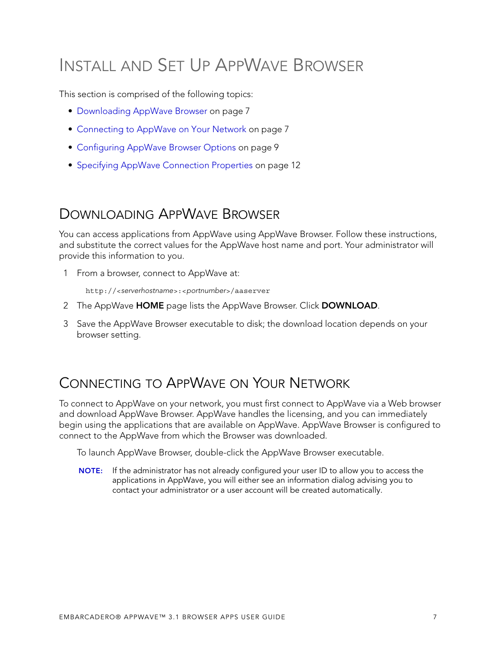## <span id="page-6-0"></span>INSTALL AND SET UP APPWAVE BROWSER

This section is comprised of the following topics:

- [Downloading AppWave Browser on page 7](#page-6-1)
- [Connecting to AppWave on Your Network on page 7](#page-6-2)
- [Configuring AppWave Browser Options on page 9](#page-8-0)
- [Specifying AppWave Connection Properties on page 12](#page-11-0)

### <span id="page-6-1"></span>DOWNLOADING APPWAVE BROWSER

You can access applications from AppWave using AppWave Browser. Follow these instructions, and substitute the correct values for the AppWave host name and port. Your administrator will provide this information to you.

1 From a browser, connect to AppWave at:

http://<serverhostname>:<portnumber>/aaserver

- 2 The AppWave **HOME** page lists the AppWave Browser. Click **DOWNLOAD**.
- 3 Save the AppWave Browser executable to disk; the download location depends on your browser setting.

### <span id="page-6-2"></span>CONNECTING TO APPWAVE ON YOUR NETWORK

<span id="page-6-3"></span>To connect to AppWave on your network, you must first connect to AppWave via a Web browser and download AppWave Browser. AppWave handles the licensing, and you can immediately begin using the applications that are available on AppWave. AppWave Browser is configured to connect to the AppWave from which the Browser was downloaded.

<span id="page-6-4"></span>To launch AppWave Browser, double-click the AppWave Browser executable.

**NOTE:** If the administrator has not already configured your user ID to allow you to access the applications in AppWave, you will either see an information dialog advising you to contact your administrator or a user account will be created automatically.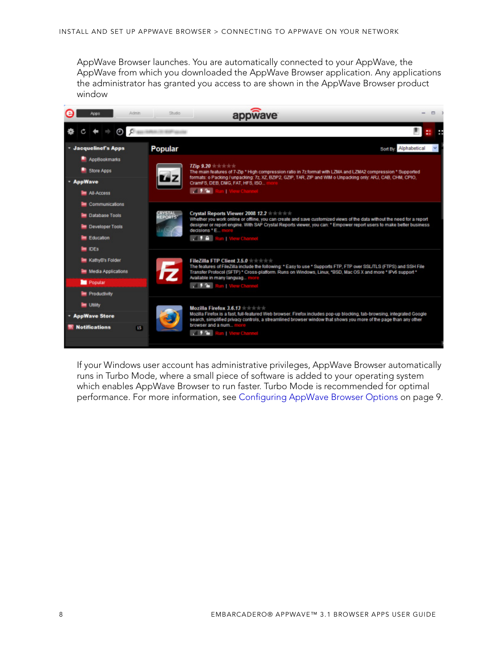AppWave Browser launches. You are automatically connected to your AppWave, the AppWave from which you downloaded the AppWave Browser application. Any applications the administrator has granted you access to are shown in the AppWave Browser product window



If your Windows user account has administrative privileges, AppWave Browser automatically runs in Turbo Mode, where a small piece of software is added to your operating system which enables AppWave Browser to run faster. Turbo Mode is recommended for optimal performance. For more information, see [Configuring AppWave Browser Options on page 9.](#page-8-0)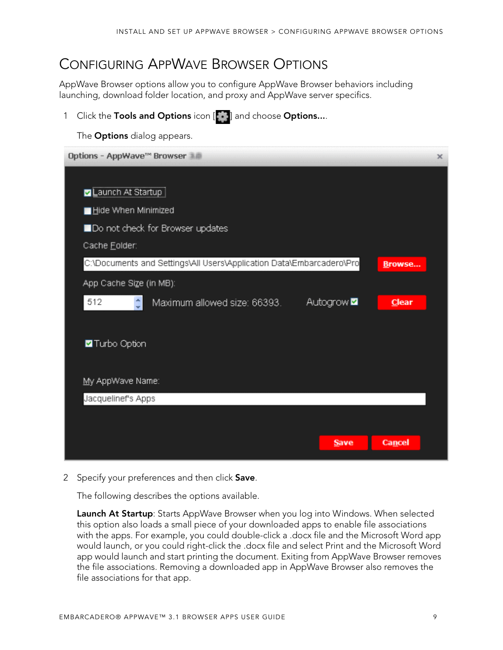### <span id="page-8-2"></span><span id="page-8-1"></span><span id="page-8-0"></span>CONFIGURING APPWAVE BROWSER OPTIONS

AppWave Browser options allow you to configure AppWave Browser behaviors including launching, download folder location, and proxy and AppWave server specifics.

1 Click the **Tools and Options** icon [320] and choose **Options...**.

<span id="page-8-5"></span><span id="page-8-3"></span>The **Options** dialog appears.

| Options - AppWave™ Browser                                           | $\times$              |
|----------------------------------------------------------------------|-----------------------|
|                                                                      |                       |
| Launch At Startup                                                    |                       |
| Hide When Minimized                                                  |                       |
| ■Do not check for Browser updates                                    |                       |
| Cache Eolder:                                                        |                       |
| C:\Documents and Settings\All Users\Application Data\Embarcadero\Pro | Browse                |
| App Cache Size (in MB):                                              |                       |
| 512<br>Autogrow <b>⊠</b><br>Maximum allowed size: 66393.             | <b>Clear</b>          |
|                                                                      |                       |
| Turbo Option                                                         |                       |
|                                                                      |                       |
| My AppWave Name:                                                     |                       |
| Jacquelinef's Apps                                                   |                       |
|                                                                      |                       |
|                                                                      | Cancel<br><b>Save</b> |
|                                                                      |                       |

2 Specify your preferences and then click **Save**.

The following describes the options available.

<span id="page-8-4"></span>**Launch At Startup**: Starts AppWave Browser when you log into Windows. When selected this option also loads a small piece of your downloaded apps to enable file associations with the apps. For example, you could double-click a .docx file and the Microsoft Word app would launch, or you could right-click the .docx file and select Print and the Microsoft Word app would launch and start printing the document. Exiting from AppWave Browser removes the file associations. Removing a downloaded app in AppWave Browser also removes the file associations for that app.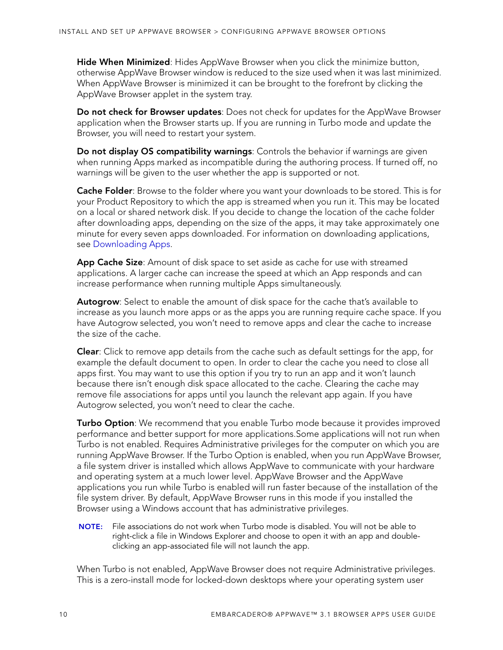<span id="page-9-2"></span>**Hide When Minimized**: Hides AppWave Browser when you click the minimize button, otherwise AppWave Browser window is reduced to the size used when it was last minimized. When AppWave Browser is minimized it can be brought to the forefront by clicking the AppWave Browser applet in the system tray.

<span id="page-9-4"></span>**Do not check for Browser updates**: Does not check for updates for the AppWave Browser application when the Browser starts up. If you are running in Turbo mode and update the Browser, you will need to restart your system.

**Do not display OS compatibility warnings**: Controls the behavior if warnings are given when running Apps marked as incompatible during the authoring process. If turned off, no warnings will be given to the user whether the app is supported or not.

<span id="page-9-3"></span><span id="page-9-0"></span>**Cache Folder**: Browse to the folder where you want your downloads to be stored. This is for your Product Repository to which the app is streamed when you run it. This may be located on a local or shared network disk. If you decide to change the location of the cache folder after downloading apps, depending on the size of the apps, it may take approximately one minute for every seven apps downloaded. For information on downloading applications, see [Downloading Apps](#page-25-2).

<span id="page-9-1"></span>**App Cache Size**: Amount of disk space to set aside as cache for use with streamed applications. A larger cache can increase the speed at which an App responds and can increase performance when running multiple Apps simultaneously.

**Autogrow**: Select to enable the amount of disk space for the cache that's available to increase as you launch more apps or as the apps you are running require cache space. If you have Autogrow selected, you won't need to remove apps and clear the cache to increase the size of the cache.

**Clear**: Click to remove app details from the cache such as default settings for the app, for example the default document to open. In order to clear the cache you need to close all apps first. You may want to use this option if you try to run an app and it won't launch because there isn't enough disk space allocated to the cache. Clearing the cache may remove file associations for apps until you launch the relevant app again. If you have Autogrow selected, you won't need to clear the cache.

<span id="page-9-5"></span>**Turbo Option**: We recommend that you enable Turbo mode because it provides improved performance and better support for more applications.Some applications will not run when Turbo is not enabled. Requires Administrative privileges for the computer on which you are running AppWave Browser. If the Turbo Option is enabled, when you run AppWave Browser, a file system driver is installed which allows AppWave to communicate with your hardware and operating system at a much lower level. AppWave Browser and the AppWave applications you run while Turbo is enabled will run faster because of the installation of the file system driver. By default, AppWave Browser runs in this mode if you installed the Browser using a Windows account that has administrative privileges.

**NOTE:** File associations do not work when Turbo mode is disabled. You will not be able to right-click a file in Windows Explorer and choose to open it with an app and doubleclicking an app-associated file will not launch the app.

When Turbo is not enabled, AppWave Browser does not require Administrative privileges. This is a zero-install mode for locked-down desktops where your operating system user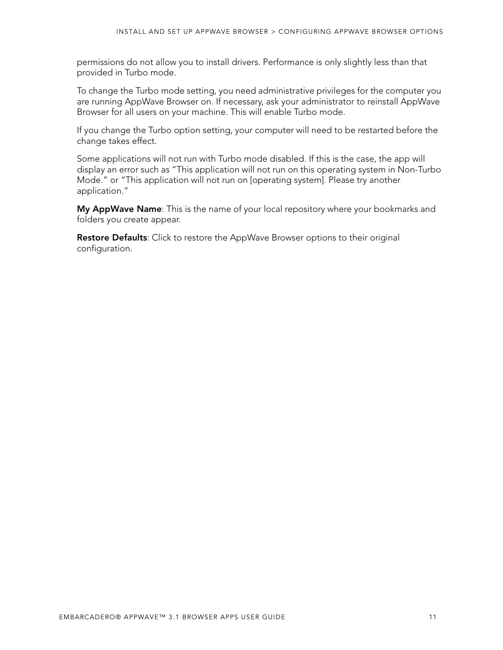permissions do not allow you to install drivers. Performance is only slightly less than that provided in Turbo mode.

To change the Turbo mode setting, you need administrative privileges for the computer you are running AppWave Browser on. If necessary, ask your administrator to reinstall AppWave Browser for all users on your machine. This will enable Turbo mode.

If you change the Turbo option setting, your computer will need to be restarted before the change takes effect.

Some applications will not run with Turbo mode disabled. If this is the case, the app will display an error such as "This application will not run on this operating system in Non-Turbo Mode." or "This application will not run on [operating system]. Please try another application."

<span id="page-10-0"></span>**My AppWave Name**: This is the name of your local repository where your bookmarks and folders you create appear.

<span id="page-10-1"></span>**Restore Defaults**: Click to restore the AppWave Browser options to their original configuration.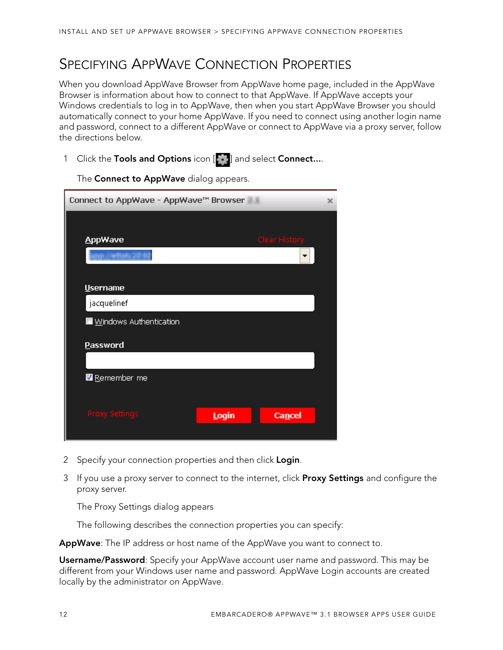### <span id="page-11-4"></span><span id="page-11-1"></span><span id="page-11-0"></span>SPECIFYING APPWAVE CONNECTION PROPERTIES

When you download AppWave Browser from AppWave home page, included in the AppWave Browser is information about how to connect to that AppWave. If AppWave accepts your Windows credentials to log in to AppWave, then when you start AppWave Browser you should automatically connect to your home AppWave. If you need to connect using another login name and password, connect to a different AppWave or connect to AppWave via a proxy server, follow the directions below.

1 Click the **Tools and Options** icon [[ ] and select **Connect...**.

| Connect to AppWave - AppWave™ Browser |       |               |  |  |
|---------------------------------------|-------|---------------|--|--|
|                                       |       |               |  |  |
| AppWave                               |       | Clear History |  |  |
| <b>Nethancità</b> il                  |       | ▼             |  |  |
|                                       |       |               |  |  |
| Username                              |       |               |  |  |
| jacquelinef                           |       |               |  |  |
| Windows Authentication                |       |               |  |  |
| <b>Password</b>                       |       |               |  |  |
|                                       |       |               |  |  |
| Remember me                           |       |               |  |  |
|                                       |       |               |  |  |
| Proxy Settings                        | Login | <b>Cancel</b> |  |  |
|                                       |       |               |  |  |

The **Connect to AppWave** dialog appears.

- 2 Specify your connection properties and then click **Login**.
- 3 If you use a proxy server to connect to the internet, click **Proxy Settings** and configure the proxy server.

The Proxy Settings dialog appears

The following describes the connection properties you can specify:

<span id="page-11-2"></span>**AppWave**: The IP address or host name of the AppWave you want to connect to.

<span id="page-11-3"></span>**Username/Password**: Specify your AppWave account user name and password. This may be different from your Windows user name and password. AppWave Login accounts are created locally by the administrator on AppWave.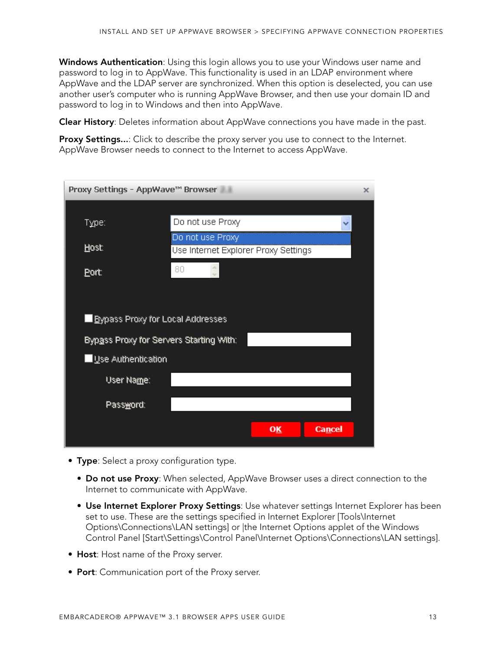<span id="page-12-0"></span>**Windows Authentication**: Using this login allows you to use your Windows user name and password to log in to AppWave. This functionality is used in an LDAP environment where AppWave and the LDAP server are synchronized. When this option is deselected, you can use another user's computer who is running AppWave Browser, and then use your domain ID and password to log in to Windows and then into AppWave.

<span id="page-12-1"></span>**Clear History**: Deletes information about AppWave connections you have made in the past.

<span id="page-12-5"></span>**Proxy Settings...**: Click to describe the proxy server you use to connect to the Internet. AppWave Browser needs to connect to the Internet to access AppWave.

| Proxy Settings - AppWave™ Browser       |                                                          | $\times$ |
|-----------------------------------------|----------------------------------------------------------|----------|
|                                         |                                                          |          |
| Type:                                   | Do not use Proxy                                         |          |
| Host:                                   | Do not use Proxy<br>Use Internet Explorer Proxy Settings |          |
| <b>Port</b>                             | 80                                                       |          |
|                                         |                                                          |          |
| <b>Bypass Proxy for Local Addresses</b> |                                                          |          |
| Bypass Proxy for Servers Starting With: |                                                          |          |
| Use Authentication                      |                                                          |          |
| User Na <u>m</u> e:                     |                                                          |          |
| Password:                               |                                                          |          |
|                                         | OK<br><b>Cancel</b>                                      |          |
|                                         |                                                          |          |

- <span id="page-12-6"></span><span id="page-12-2"></span>• **Type**: Select a proxy configuration type.
	- **Do not use Proxy**: When selected, AppWave Browser uses a direct connection to the Internet to communicate with AppWave.
	- **Use Internet Explorer Proxy Settings**: Use whatever settings Internet Explorer has been set to use. These are the settings specified in Internet Explorer [Tools\Internet Options\Connections\LAN settings] or |the Internet Options applet of the Windows Control Panel [Start\Settings\Control Panel\Internet Options\Connections\LAN settings].
- <span id="page-12-3"></span>• **Host**: Host name of the Proxy server.
- <span id="page-12-4"></span>• **Port**: Communication port of the Proxy server.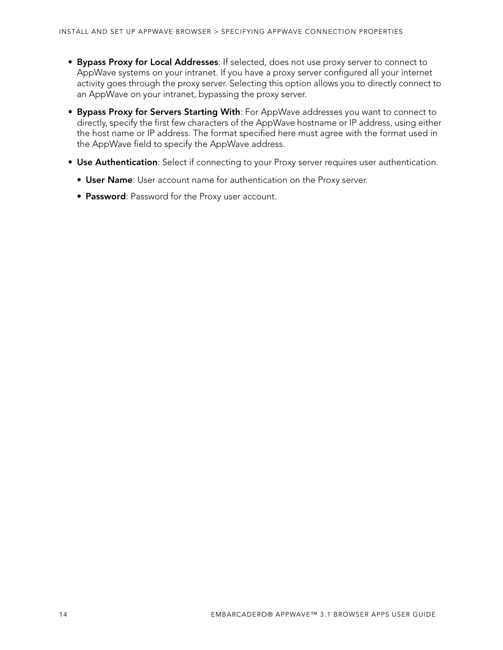- <span id="page-13-2"></span>• **Bypass Proxy for Local Addresses**: If selected, does not use proxy server to connect to AppWave systems on your intranet. If you have a proxy server configured all your internet activity goes through the proxy server. Selecting this option allows you to directly connect to an AppWave on your intranet, bypassing the proxy server.
- **Bypass Proxy for Servers Starting With**: For AppWave addresses you want to connect to directly, specify the first few characters of the AppWave hostname or IP address, using either the host name or IP address. The format specified here must agree with the format used in the AppWave field to specify the AppWave address.
- <span id="page-13-1"></span><span id="page-13-0"></span>• **Use Authentication**: Select if connecting to your Proxy server requires user authentication.
	- **User Name**: User account name for authentication on the Proxy server.
	- **Password**: Password for the Proxy user account.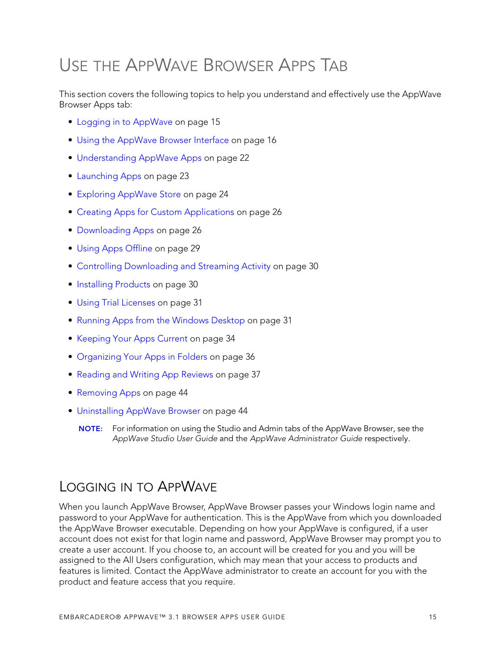## <span id="page-14-0"></span>USE THE APPWAVE BROWSER APPS TAB

This section covers the following topics to help you understand and effectively use the AppWave Browser Apps tab:

- [Logging in to AppWave on page 15](#page-14-1)
- [Using the AppWave Browser Interface on page 16](#page-15-0)
- [Understanding AppWave Apps on page 22](#page-21-0)
- [Launching Apps on page 23](#page-22-0)
- [Exploring AppWave Store on page 24](#page-23-0)
- [Creating Apps for Custom Applications on page 26](#page-25-0)
- [Downloading Apps on page 26](#page-25-1)
- [Using Apps Offline on page 29](#page-28-0)
- [Controlling Downloading and Streaming Activity on page 30](#page-29-0)
- [Installing Products on page 30](#page-29-1)
- [Using Trial Licenses on page 31](#page-30-0)
- [Running Apps from the Windows Desktop on page 31](#page-30-1)
- [Keeping Your Apps Current on page 34](#page-33-0)
- [Organizing Your Apps in Folders on page 36](#page-35-0)
- [Reading and Writing App Reviews on page 37](#page-36-0)
- [Removing Apps on page 44](#page-43-0)
- [Uninstalling AppWave Browser on page 44](#page-43-1)

**NOTE:** For information on using the Studio and Admin tabs of the AppWave Browser, see the AppWave Studio User Guide and the AppWave Administrator Guide respectively.

### <span id="page-14-1"></span>LOGGING IN TO APPWAVE

<span id="page-14-2"></span>When you launch AppWave Browser, AppWave Browser passes your Windows login name and password to your AppWave for authentication. This is the AppWave from which you downloaded the AppWave Browser executable. Depending on how your AppWave is configured, if a user account does not exist for that login name and password, AppWave Browser may prompt you to create a user account. If you choose to, an account will be created for you and you will be assigned to the All Users configuration, which may mean that your access to products and features is limited. Contact the AppWave administrator to create an account for you with the product and feature access that you require.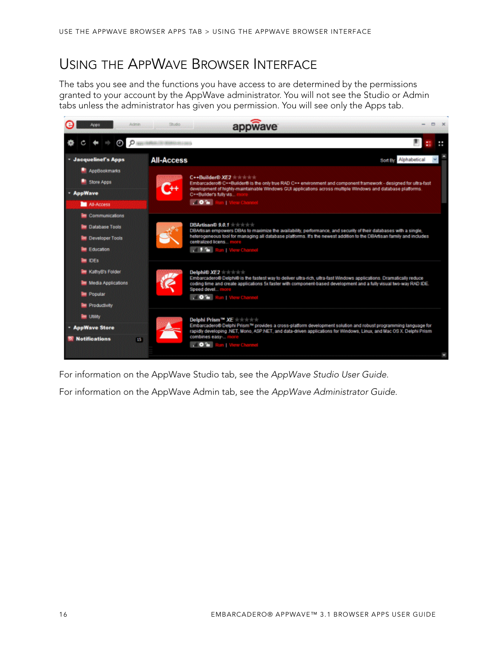## <span id="page-15-0"></span>USING THE APPWAVE BROWSER INTERFACE

<span id="page-15-3"></span><span id="page-15-2"></span><span id="page-15-1"></span>The tabs you see and the functions you have access to are determined by the permissions granted to your account by the AppWave administrator. You will not see the Studio or Admin tabs unless the administrator has given you permission. You will see only the Apps tab.



For information on the AppWave Studio tab, see the AppWave Studio User Guide.

For information on the AppWave Admin tab, see the AppWave Administrator Guide.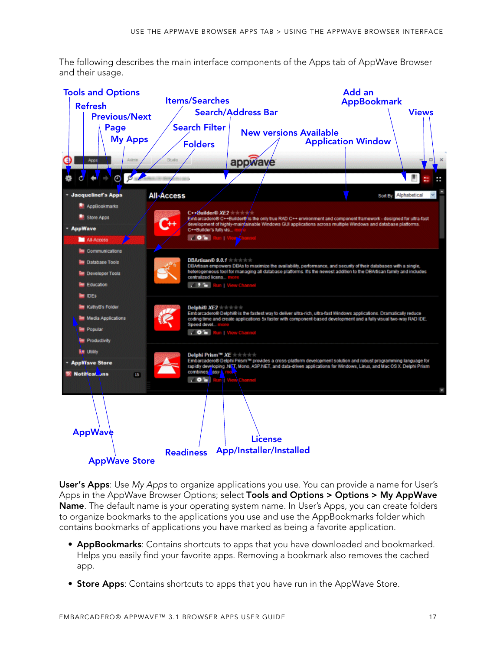The following describes the main interface components of the Apps tab of AppWave Browser and their usage.



<span id="page-16-2"></span>**User's Apps**: Use My Apps to organize applications you use. You can provide a name for User's Apps in the AppWave Browser Options; select **Tools and Options > Options > My AppWave Name**. The default name is your operating system name. In User's Apps, you can create folders to organize bookmarks to the applications you use and use the AppBookmarks folder which contains bookmarks of applications you have marked as being a favorite application.

- <span id="page-16-1"></span><span id="page-16-0"></span>• **AppBookmarks**: Contains shortcuts to apps that you have downloaded and bookmarked. Helps you easily find your favorite apps. Removing a bookmark also removes the cached app.
- **Store Apps**: Contains shortcuts to apps that you have run in the AppWave Store.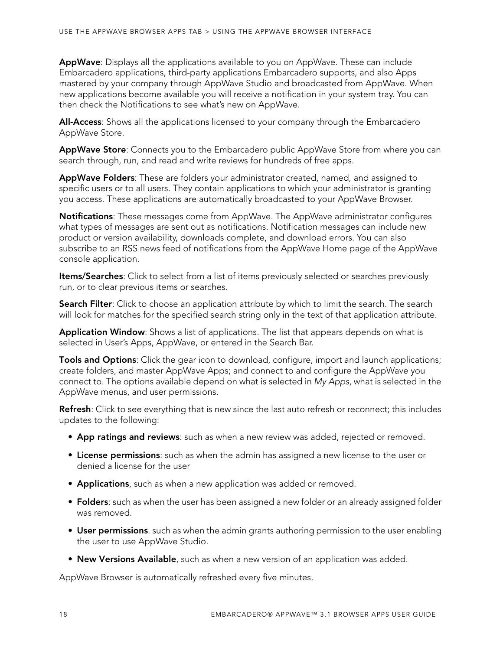<span id="page-17-1"></span>**AppWave**: Displays all the applications available to you on AppWave. These can include Embarcadero applications, third-party applications Embarcadero supports, and also Apps mastered by your company through AppWave Studio and broadcasted from AppWave. When new applications become available you will receive a notification in your system tray. You can then check the Notifications to see what's new on AppWave.

<span id="page-17-0"></span>**All-Access**: Shows all the applications licensed to your company through the Embarcadero AppWave Store.

<span id="page-17-3"></span>**AppWave Store**: Connects you to the Embarcadero public AppWave Store from where you can search through, run, and read and write reviews for hundreds of free apps.

<span id="page-17-4"></span><span id="page-17-2"></span>**AppWave Folders**: These are folders your administrator created, named, and assigned to specific users or to all users. They contain applications to which your administrator is granting you access. These applications are automatically broadcasted to your AppWave Browser.

<span id="page-17-6"></span><span id="page-17-5"></span>**Notifications**: These messages come from AppWave. The AppWave administrator configures what types of messages are sent out as notifications. Notification messages can include new product or version availability, downloads complete, and download errors. You can also subscribe to an RSS news feed of notifications from the AppWave Home page of the AppWave console application.

**Items/Searches**: Click to select from a list of items previously selected or searches previously run, or to clear previous items or searches.

<span id="page-17-8"></span><span id="page-17-7"></span>**Search Filter**: Click to choose an application attribute by which to limit the search. The search will look for matches for the specified search string only in the text of that application attribute.

**Application Window**: Shows a list of applications. The list that appears depends on what is selected in User's Apps, AppWave, or entered in the Search Bar.

**Tools and Options**: Click the gear icon to download, configure, import and launch applications; create folders, and master AppWave Apps; and connect to and configure the AppWave you connect to. The options available depend on what is selected in My Apps, what is selected in the AppWave menus, and user permissions.

**Refresh**: Click to see everything that is new since the last auto refresh or reconnect; this includes updates to the following:

- **App ratings and reviews**: such as when a new review was added, rejected or removed.
- **License permissions**: such as when the admin has assigned a new license to the user or denied a license for the user
- **Applications**, such as when a new application was added or removed.
- **Folders**: such as when the user has been assigned a new folder or an already assigned folder was removed.
- **User permissions**. such as when the admin grants authoring permission to the user enabling the user to use AppWave Studio.
- **New Versions Available**, such as when a new version of an application was added.

AppWave Browser is automatically refreshed every five minutes.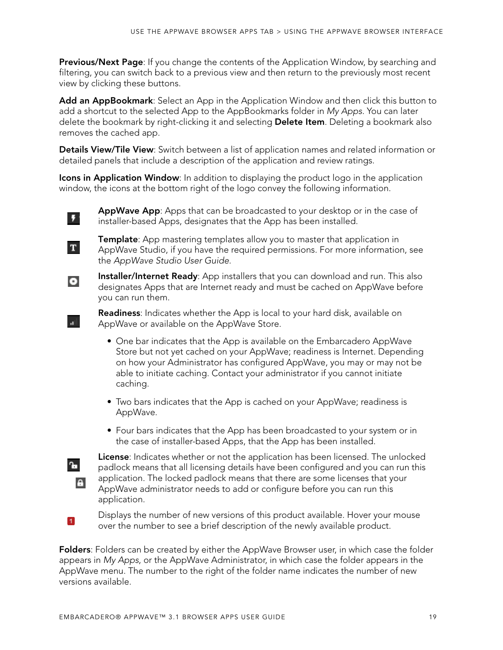<span id="page-18-2"></span>**Previous/Next Page**: If you change the contents of the Application Window, by searching and filtering, you can switch back to a previous view and then return to the previously most recent view by clicking these buttons.

<span id="page-18-0"></span>**Add an AppBookmark**: Select an App in the Application Window and then click this button to add a shortcut to the selected App to the AppBookmarks folder in My Apps. You can later delete the bookmark by right-clicking it and selecting **Delete Item**. Deleting a bookmark also removes the cached app.

<span id="page-18-6"></span>**Details View/Tile View**: Switch between a list of application names and related information or detailed panels that include a description of the application and review ratings.

<span id="page-18-5"></span>**Icons in Application Window**: In addition to displaying the product logo in the application window, the icons at the bottom right of the logo convey the following information.



**T** 

<span id="page-18-3"></span><span id="page-18-1"></span>**AppWave App**: Apps that can be broadcasted to your desktop or in the case of installer-based Apps, designates that the App has been installed.

**Template**: App mastering templates allow you to master that application in AppWave Studio, if you have the required permissions. For more information, see the AppWave Studio User Guide.



all

**Installer/Internet Ready**: App installers that you can download and run. This also designates Apps that are Internet ready and must be cached on AppWave before you can run them.

**Readiness**: Indicates whether the App is local to your hard disk, available on AppWave or available on the AppWave Store.

- One bar indicates that the App is available on the Embarcadero AppWave Store but not yet cached on your AppWave; readiness is Internet. Depending on how your Administrator has configured AppWave, you may or may not be able to initiate caching. Contact your administrator if you cannot initiate caching.
- Two bars indicates that the App is cached on your AppWave; readiness is AppWave.
- Four bars indicates that the App has been broadcasted to your system or in the case of installer-based Apps, that the App has been installed.



 $\blacksquare$ 

**License**: Indicates whether or not the application has been licensed. The unlocked padlock means that all licensing details have been configured and you can run this application. The locked padlock means that there are some licenses that your AppWave administrator needs to add or configure before you can run this application.

<span id="page-18-4"></span>Displays the number of new versions of this product available. Hover your mouse over the number to see a brief description of the newly available product.

**Folders**: Folders can be created by either the AppWave Browser user, in which case the folder appears in My Apps, or the AppWave Administrator, in which case the folder appears in the AppWave menu. The number to the right of the folder name indicates the number of new versions available.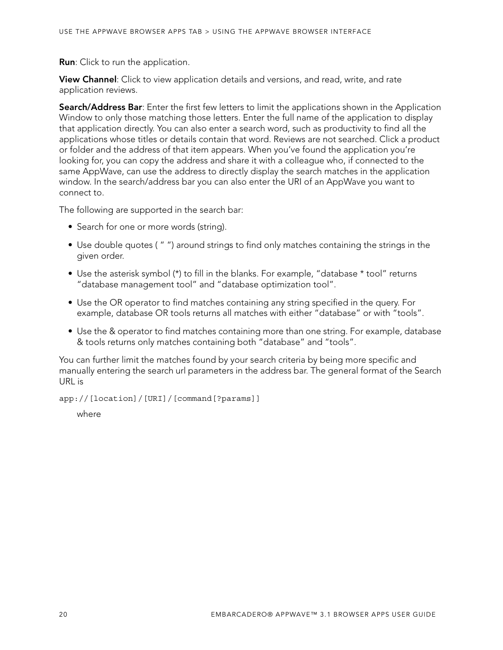<span id="page-19-0"></span>**Run**: Click to run the application.

**View Channel**: Click to view application details and versions, and read, write, and rate application reviews.

<span id="page-19-1"></span>**Search/Address Bar**: Enter the first few letters to limit the applications shown in the Application Window to only those matching those letters. Enter the full name of the application to display that application directly. You can also enter a search word, such as productivity to find all the applications whose titles or details contain that word. Reviews are not searched. Click a product or folder and the address of that item appears. When you've found the application you're looking for, you can copy the address and share it with a colleague who, if connected to the same AppWave, can use the address to directly display the search matches in the application window. In the search/address bar you can also enter the URI of an AppWave you want to connect to.

The following are supported in the search bar:

- <span id="page-19-2"></span>• Search for one or more words (string).
- Use double quotes ( " ") around strings to find only matches containing the strings in the given order.
- Use the asterisk symbol (\*) to fill in the blanks. For example, "database \* tool" returns "database management tool" and "database optimization tool".
- Use the OR operator to find matches containing any string specified in the query. For example, database OR tools returns all matches with either "database" or with "tools".
- Use the & operator to find matches containing more than one string. For example, database & tools returns only matches containing both "database" and "tools".

You can further limit the matches found by your search criteria by being more specific and manually entering the search url parameters in the address bar. The general format of the Search URL is

app://[location]/[URI]/[command[?params]]

where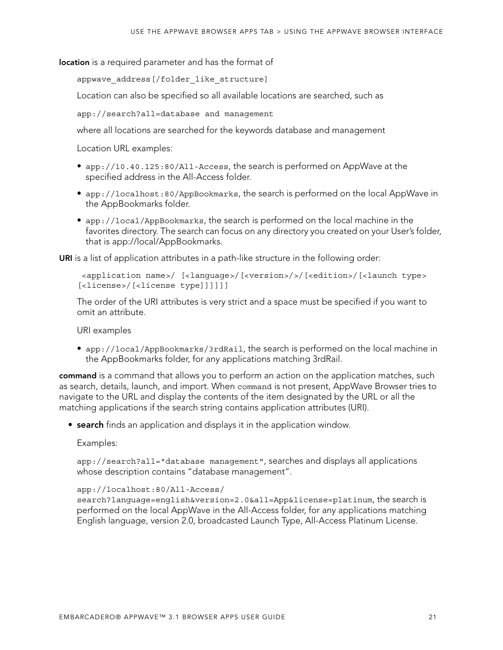**location** is a required parameter and has the format of

appwave address[/folder like structure]

Location can also be specified so all available locations are searched, such as

app://search?all=database and management

where all locations are searched for the keywords database and management

Location URL examples:

- app://10.40.125:80/All-Access, the search is performed on AppWave at the specified address in the All-Access folder.
- app://localhost:80/AppBookmarks, the search is performed on the local AppWave in the AppBookmarks folder.
- app://local/AppBookmarks, the search is performed on the local machine in the favorites directory. The search can focus on any directory you created on your User's folder, that is app://local/AppBookmarks.

**URI** is a list of application attributes in a path-like structure in the following order:

```
 <application name>/ [<language>/[<version>/>/[<edition>/[<launch type> 
[<license>/[<license type]]]]]]
```
The order of the URI attributes is very strict and a space must be specified if you want to omit an attribute.

URI examples

• app://local/AppBookmarks/3rdRail, the search is performed on the local machine in the AppBookmarks folder, for any applications matching 3rdRail.

**command** is a command that allows you to perform an action on the application matches, such as search, details, launch, and import. When command is not present, AppWave Browser tries to navigate to the URL and display the contents of the item designated by the URL or all the matching applications if the search string contains application attributes (URI).

• **search** finds an application and displays it in the application window.

Examples:

app://search?all="database management", searches and displays all applications whose description contains "database management".

app://localhost:80/All-Access/

search?language=english&version=2.0&all=App&license=platinum, the search is performed on the local AppWave in the All-Access folder, for any applications matching English language, version 2.0, broadcasted Launch Type, All-Access Platinum License.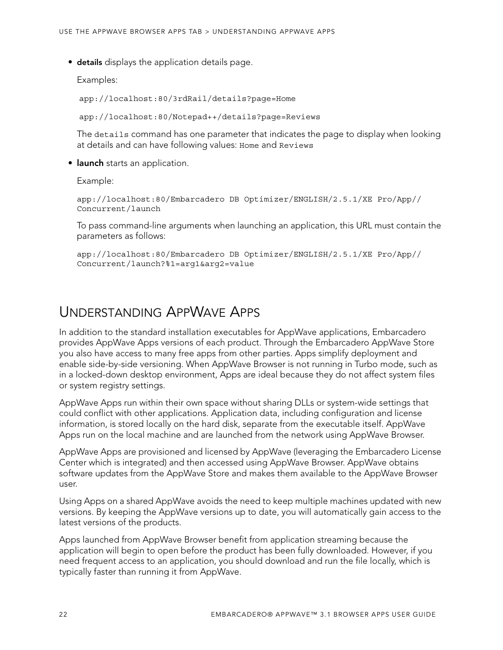• **details** displays the application details page.

Examples:

app://localhost:80/3rdRail/details?page=Home

app://localhost:80/Notepad++/details?page=Reviews

The details command has one parameter that indicates the page to display when looking at details and can have following values: Home and Reviews

• **launch** starts an application.

Example:

```
app://localhost:80/Embarcadero DB Optimizer/ENGLISH/2.5.1/XE Pro/App//
Concurrent/launch
```
To pass command-line arguments when launching an application, this URL must contain the parameters as follows:

```
app://localhost:80/Embarcadero DB Optimizer/ENGLISH/2.5.1/XE Pro/App//
Concurrent/launch?%1=arg1&arg2=value
```
### <span id="page-21-0"></span>UNDERSTANDING APPWAVE APPS

In addition to the standard installation executables for AppWave applications, Embarcadero provides AppWave Apps versions of each product. Through the Embarcadero AppWave Store you also have access to many free apps from other parties. Apps simplify deployment and enable side-by-side versioning. When AppWave Browser is not running in Turbo mode, such as in a locked-down desktop environment, Apps are ideal because they do not affect system files or system registry settings.

AppWave Apps run within their own space without sharing DLLs or system-wide settings that could conflict with other applications. Application data, including configuration and license information, is stored locally on the hard disk, separate from the executable itself. AppWave Apps run on the local machine and are launched from the network using AppWave Browser.

AppWave Apps are provisioned and licensed by AppWave (leveraging the Embarcadero License Center which is integrated) and then accessed using AppWave Browser. AppWave obtains software updates from the AppWave Store and makes them available to the AppWave Browser user.

Using Apps on a shared AppWave avoids the need to keep multiple machines updated with new versions. By keeping the AppWave versions up to date, you will automatically gain access to the latest versions of the products.

<span id="page-21-1"></span>Apps launched from AppWave Browser benefit from application streaming because the application will begin to open before the product has been fully downloaded. However, if you need frequent access to an application, you should download and run the file locally, which is typically faster than running it from AppWave.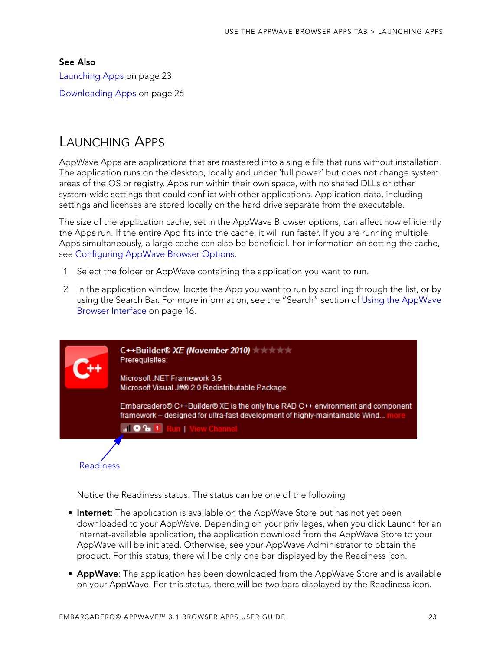### **See Also**

[Launching Apps on page 23](#page-22-0) [Downloading Apps on page 26](#page-25-1)

### <span id="page-22-0"></span>LAUNCHING APPS

AppWave Apps are applications that are mastered into a single file that runs without installation. The application runs on the desktop, locally and under 'full power' but does not change system areas of the OS or registry. Apps run within their own space, with no shared DLLs or other system-wide settings that could conflict with other applications. Application data, including settings and licenses are stored locally on the hard drive separate from the executable.

The size of the application cache, set in the AppWave Browser options, can affect how efficiently the Apps run. If the entire App fits into the cache, it will run faster. If you are running multiple Apps simultaneously, a large cache can also be beneficial. For information on setting the cache, see [Configuring AppWave Browser Options](#page-8-1).

- 1 Select the folder or AppWave containing the application you want to run.
- 2 In the application window, locate the App you want to run by scrolling through the list, or by using the Search Bar. For more information, see the "Search" section of [Using the AppWave](#page-15-0)  [Browser Interface on page 16](#page-15-0).



Readiness

<span id="page-22-3"></span><span id="page-22-2"></span>Notice the Readiness status. The status can be one of the following

- **Internet**: The application is available on the AppWave Store but has not yet been downloaded to your AppWave. Depending on your privileges, when you click Launch for an Internet-available application, the application download from the AppWave Store to your AppWave will be initiated. Otherwise, see your AppWave Administrator to obtain the product. For this status, there will be only one bar displayed by the Readiness icon.
- <span id="page-22-1"></span>• **AppWave**: The application has been downloaded from the AppWave Store and is available on your AppWave. For this status, there will be two bars displayed by the Readiness icon.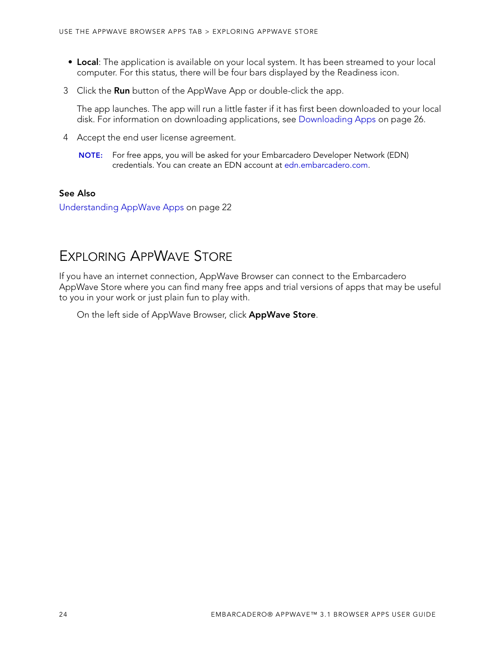- <span id="page-23-1"></span>• **Local**: The application is available on your local system. It has been streamed to your local computer. For this status, there will be four bars displayed by the Readiness icon.
- 3 Click the **Run** button of the AppWave App or double-click the app.

The app launches. The app will run a little faster if it has first been downloaded to your local disk. For information on downloading applications, see [Downloading Apps on page 26.](#page-25-1)

- 4 Accept the end user license agreement.
	- **NOTE:** For free apps, you will be asked for your Embarcadero Developer Network (EDN) credentials. You can create an EDN account at<edn.embarcadero.com>.

#### **See Also**

[Understanding AppWave Apps on page 22](#page-21-0)

### <span id="page-23-0"></span>EXPLORING APPWAVE STORE

If you have an internet connection, AppWave Browser can connect to the Embarcadero AppWave Store where you can find many free apps and trial versions of apps that may be useful to you in your work or just plain fun to play with.

On the left side of AppWave Browser, click **AppWave Store**.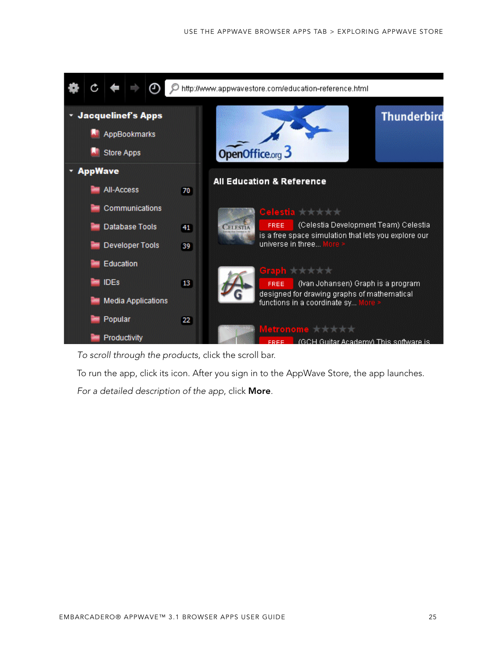

To scroll through the products, click the scroll bar.

To run the app, click its icon. After you sign in to the AppWave Store, the app launches.

For a detailed description of the app, click **More**.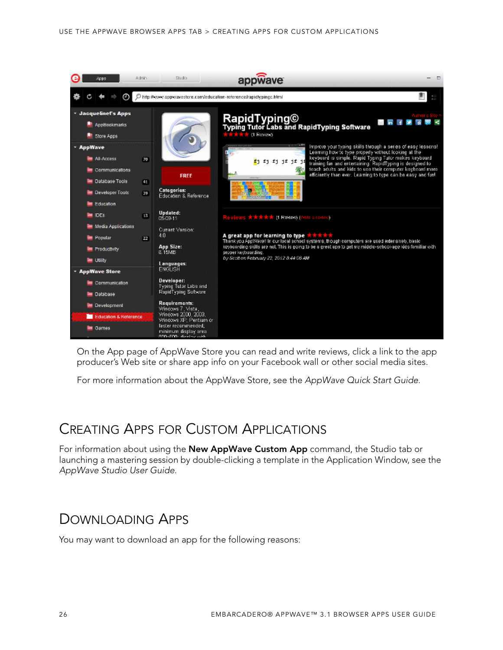

On the App page of AppWave Store you can read and write reviews, click a link to the app producer's Web site or share app info on your Facebook wall or other social media sites.

For more information about the AppWave Store, see the AppWave Quick Start Guide.

### <span id="page-25-0"></span>CREATING APPS FOR CUSTOM APPLICATIONS

For information about using the **New AppWave Custom App** command, the Studio tab or launching a mastering session by double-clicking a template in the Application Window, see the AppWave Studio User Guide.

### <span id="page-25-2"></span><span id="page-25-1"></span>DOWNLOADING APPS

<span id="page-25-3"></span>You may want to download an app for the following reasons: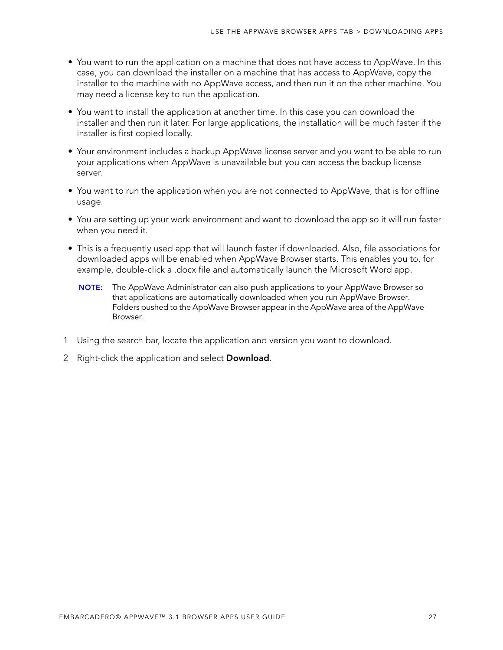- <span id="page-26-0"></span>• You want to run the application on a machine that does not have access to AppWave. In this case, you can download the installer on a machine that has access to AppWave, copy the installer to the machine with no AppWave access, and then run it on the other machine. You may need a license key to run the application.
- You want to install the application at another time. In this case you can download the installer and then run it later. For large applications, the installation will be much faster if the installer is first copied locally.
- <span id="page-26-2"></span><span id="page-26-1"></span>• Your environment includes a backup AppWave license server and you want to be able to run your applications when AppWave is unavailable but you can access the backup license server.
- You want to run the application when you are not connected to AppWave, that is for offline usage.
- You are setting up your work environment and want to download the app so it will run faster when you need it.
- This is a frequently used app that will launch faster if downloaded. Also, file associations for downloaded apps will be enabled when AppWave Browser starts. This enables you to, for example, double-click a .docx file and automatically launch the Microsoft Word app.
	- **NOTE:** The AppWave Administrator can also push applications to your AppWave Browser so that applications are automatically downloaded when you run AppWave Browser. Folders pushed to the AppWave Browser appear in the AppWave area of the AppWave Browser.
- 1 Using the search bar, locate the application and version you want to download.
- 2 Right-click the application and select **Download**.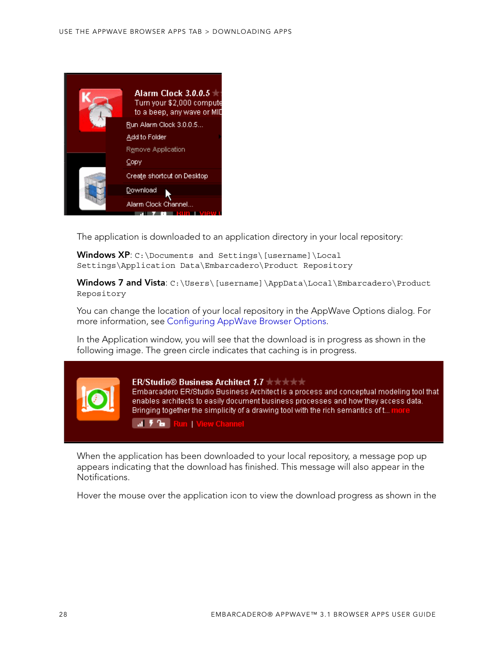

The application is downloaded to an application directory in your local repository:

Windows XP: C:\Documents and Settings\[username]\Local Settings\Application Data\Embarcadero\Product Repository

**Windows 7 and Vista**: C:\Users\[username]\AppData\Local\Embarcadero\Product Repository

You can change the location of your local repository in the AppWave Options dialog. For more information, see [Configuring AppWave Browser Options](#page-8-2).

In the Application window, you will see that the download is in progress as shown in the following image. The green circle indicates that caching is in progress.



<span id="page-27-1"></span><span id="page-27-0"></span>ER/Studio® Business Architect 1.7  $\pm\pm\pm\pm\pm$ 

Embarcadero ER/Studio Business Architect is a process and conceptual modeling tool that enables architects to easily document business processes and how they access data. Bringing together the simplicity of a drawing tool with the rich semantics of t... more

 $\mathbf{d}$   $\mathbf{F}$   $\mathbf{G}$  Run | View Channel

When the application has been downloaded to your local repository, a message pop up appears indicating that the download has finished. This message will also appear in the Notifications.

Hover the mouse over the application icon to view the download progress as shown in the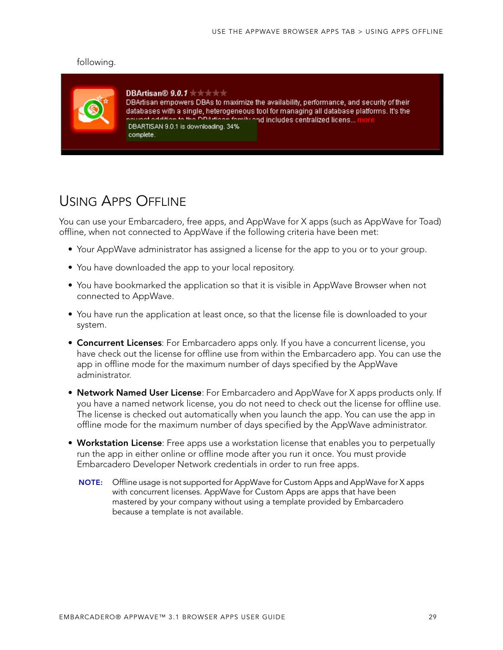#### following.



DBArtisan® 9.0.1 \*\*\*\*\*

DBArtisan empowers DBAs to maximize the availability, performance, and security of their databases with a single, heterogeneous tool for managing all database platforms. It's the courant addition to the DDArticen formity and includes centralized licens... I DBARTISAN 9.0.1 is downloading. 34% complete.

### <span id="page-28-0"></span>USING APPS OFFLINE

You can use your Embarcadero, free apps, and AppWave for X apps (such as AppWave for Toad) offline, when not connected to AppWave if the following criteria have been met:

- Your AppWave administrator has assigned a license for the app to you or to your group.
- You have downloaded the app to your local repository.
- You have bookmarked the application so that it is visible in AppWave Browser when not connected to AppWave.
- You have run the application at least once, so that the license file is downloaded to your system.
- **Concurrent Licenses**: For Embarcadero apps only. If you have a concurrent license, you have check out the license for offline use from within the Embarcadero app. You can use the app in offline mode for the maximum number of days specified by the AppWave administrator.
- **Network Named User License**: For Embarcadero and AppWave for X apps products only. If you have a named network license, you do not need to check out the license for offline use. The license is checked out automatically when you launch the app. You can use the app in offline mode for the maximum number of days specified by the AppWave administrator.
- **Workstation License**: Free apps use a workstation license that enables you to perpetually run the app in either online or offline mode after you run it once. You must provide Embarcadero Developer Network credentials in order to run free apps.
	- **NOTE:** Offline usage is not supported for AppWave for Custom Apps and AppWave for X apps with concurrent licenses. AppWave for Custom Apps are apps that have been mastered by your company without using a template provided by Embarcadero because a template is not available.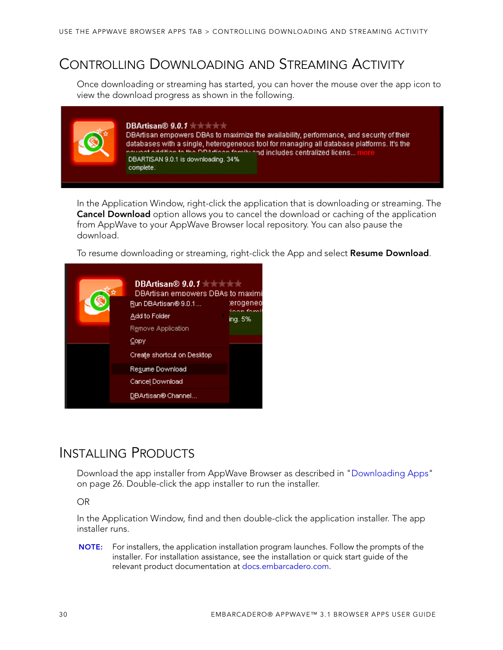### <span id="page-29-0"></span>CONTROLLING DOWNLOADING AND STREAMING ACTIVITY

<span id="page-29-3"></span>Once downloading or streaming has started, you can hover the mouse over the app icon to view the download progress as shown in the following.

#### DBArtisan® 9.0.1 \*\*\*\*\*

DBArtisan empowers DBAs to maximize the availability, performance, and security of their databases with a single, heterogeneous tool for managing all database platforms. It's the nounct oddition to the DDA tioon formity and includes centralized licens... Inc DBARTISAN 9.0.1 is downloading. 34% complete.

<span id="page-29-2"></span>In the Application Window, right-click the application that is downloading or streaming. The **Cancel Download** option allows you to cancel the download or caching of the application from AppWave to your AppWave Browser local repository. You can also pause the download.

To resume downloading or streaming, right-click the App and select **Resume Download**.



### <span id="page-29-1"></span>INSTALLING PRODUCTS

Download the app installer from AppWave Browser as described in ["Downloading Apps"](#page-25-1)  [on page 26](#page-25-1). Double-click the app installer to run the installer.

#### OR

In the Application Window, find and then double-click the application installer. The app installer runs.

**NOTE:** For installers, the application installation program launches. Follow the prompts of the installer. For installation assistance, see the installation or quick start guide of the relevant product documentation at [docs.embarcadero.com.](http://docs.embarcadero.com)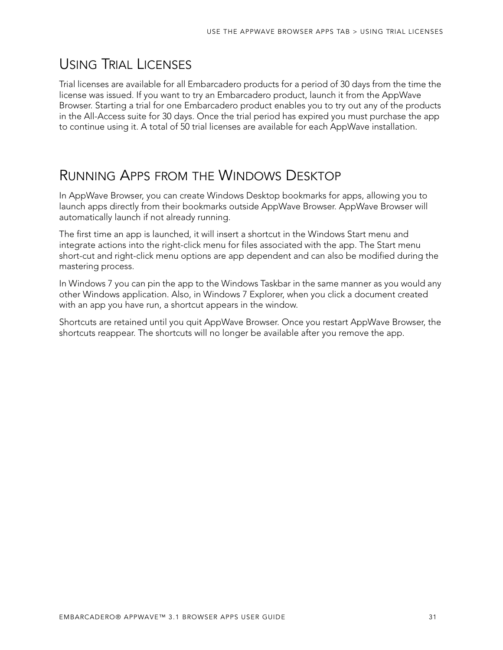### <span id="page-30-0"></span>USING TRIAL LICENSES

Trial licenses are available for all Embarcadero products for a period of 30 days from the time the license was issued. If you want to try an Embarcadero product, launch it from the AppWave Browser. Starting a trial for one Embarcadero product enables you to try out any of the products in the All-Access suite for 30 days. Once the trial period has expired you must purchase the app to continue using it. A total of 50 trial licenses are available for each AppWave installation.

### <span id="page-30-1"></span>RUNNING APPS FROM THE WINDOWS DESKTOP

In AppWave Browser, you can create Windows Desktop bookmarks for apps, allowing you to launch apps directly from their bookmarks outside AppWave Browser. AppWave Browser will automatically launch if not already running.

The first time an app is launched, it will insert a shortcut in the Windows Start menu and integrate actions into the right-click menu for files associated with the app. The Start menu short-cut and right-click menu options are app dependent and can also be modified during the mastering process.

In Windows 7 you can pin the app to the Windows Taskbar in the same manner as you would any other Windows application. Also, in Windows 7 Explorer, when you click a document created with an app you have run, a shortcut appears in the window.

Shortcuts are retained until you quit AppWave Browser. Once you restart AppWave Browser, the shortcuts reappear. The shortcuts will no longer be available after you remove the app.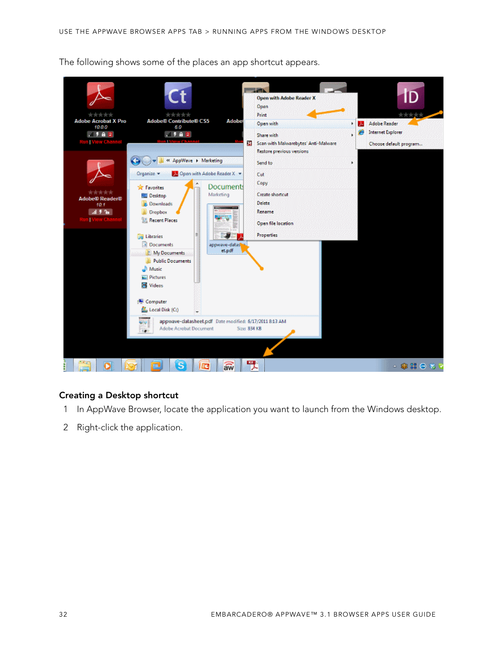**Links** Open with Adobe Reader X Open Print Adobe **Adobe Acroba** at X Pro de®CS5 Adol ® Co Adobe Reader Open with ¥, 60 10.0.0 **B** Internet Explorer  $.9a$  $.788$ Share with × Scan with Malwarebytes' Anti-Malware Choose default program... Restore previous versions → → L « AppWave + Marketing Send to Organize \* Open with Adobe Reader X Cut Copy **Documents x** Favorites Marketing Create shortcut Desktop Adobe® Reader® Downloads Delete  $10.1$  $\mathcal{A} \subseteq \mathcal{B}$ **Dropbox** Rename <sup>83</sup> Recent Places Open file location Properties **El Libraries 3 1** Oocuments appwave-datas et.pdf My Documents Public Documents Music  $\equiv$  Pictures S Videos Computer Local Disk (C) appwave-datasheet.pdf Date modified: 6/17/2011 8:13 AM Adobe Acrobat Document Size: 834 KB 14 嘿 leg  $- 889900$  $\overline{aw}$ 

The following shows some of the places an app shortcut appears.

#### **Creating a Desktop shortcut**

- 1 In AppWave Browser, locate the application you want to launch from the Windows desktop.
- 2 Right-click the application.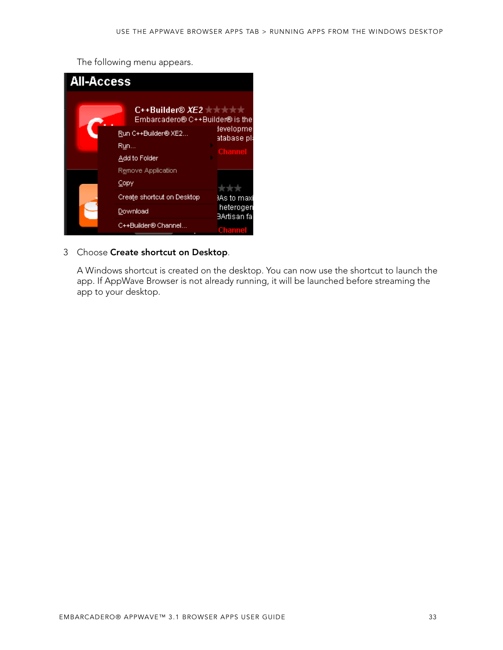The following menu appears.



3 Choose **Create shortcut on Desktop**.

A Windows shortcut is created on the desktop. You can now use the shortcut to launch the app. If AppWave Browser is not already running, it will be launched before streaming the app to your desktop.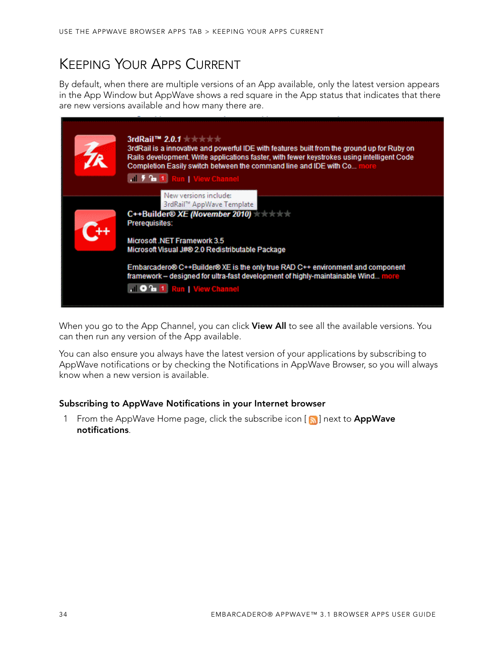## <span id="page-33-0"></span>KEEPING YOUR APPS CURRENT

By default, when there are multiple versions of an App available, only the latest version appears in the App Window but AppWave shows a red square in the App status that indicates that there are new versions available and how many there are.

| $3$ rdRail™ 2.0.1 $+ + +$<br>3rdRail is a innovative and powerful IDE with features built from the ground up for Ruby on<br>Rails development. Write applications faster, with fewer keystrokes using intelligent Code<br>Completion Easily switch between the command line and IDE with Co more<br>all <b>7 To 33</b> Run   View Channel                                                                                 |
|---------------------------------------------------------------------------------------------------------------------------------------------------------------------------------------------------------------------------------------------------------------------------------------------------------------------------------------------------------------------------------------------------------------------------|
| New versions include:<br>3rdRail™ AppWave Template<br>C++Builder® XE (November 2010)<br>Prerequisites:<br>Microsoft .NET Framework 3.5<br>Microsoft Visual J#® 2.0 Redistributable Package<br>Embarcadero® C++Builder® XE is the only true RAD C++ environment and component<br>framework - designed for ultra-fast development of highly-maintainable Wind more<br>n   View Channel<br>$\blacksquare$ O $\blacksquare$ 1 |

When you go to the App Channel, you can click **View All** to see all the available versions. You can then run any version of the App available.

<span id="page-33-3"></span><span id="page-33-2"></span><span id="page-33-1"></span>You can also ensure you always have the latest version of your applications by subscribing to AppWave notifications or by checking the Notifications in AppWave Browser, so you will always know when a new version is available.

#### **Subscribing to AppWave Notifications in your Internet browser**

<span id="page-33-4"></span>1 From the AppWave Home page, click the subscribe icon [N] next to **AppWave notifications**.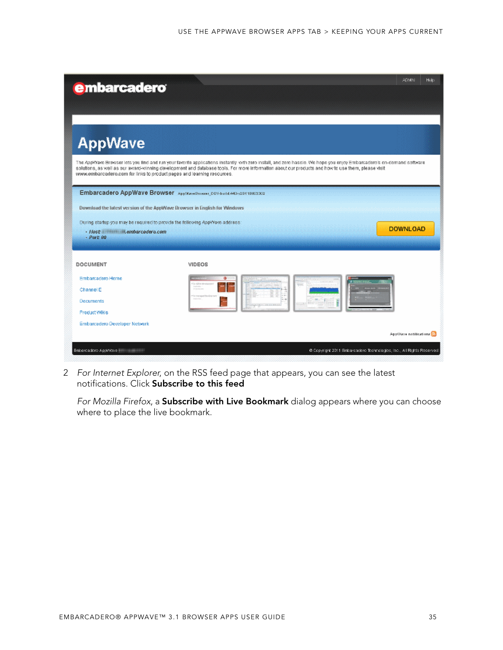| <b>embarcadero</b>                                                                                                                                                                                                   |                                                                                                                                                                                                                                                                                                                             | <b>ADMN</b>                                                            | Hide |
|----------------------------------------------------------------------------------------------------------------------------------------------------------------------------------------------------------------------|-----------------------------------------------------------------------------------------------------------------------------------------------------------------------------------------------------------------------------------------------------------------------------------------------------------------------------|------------------------------------------------------------------------|------|
| <b>AppWave</b>                                                                                                                                                                                                       |                                                                                                                                                                                                                                                                                                                             |                                                                        |      |
| www.embarcadero.com for links to product pages and learning resources.                                                                                                                                               | The AppV/ave Browser lets you find and run your favorite applications instantly with zero install, and zero hassle. We hope you enjoy Embarcadero's on-demand software<br>solutions, as well as our award-winning development and database tools. For more information about our products and how to use them, please visit |                                                                        |      |
| Download the latest version of the AppWave Browser in English for Windows<br>During startup you may be required to provide the following AppVVave address:<br>· Host <b>William Ambarcadero.com</b><br>$-$ Port $90$ | Embarcadero AppWave Browser AppWaveBroad OEV-build A43-220110803302                                                                                                                                                                                                                                                         | <b>DOWNLOAD</b>                                                        |      |
| DOCUMENT                                                                                                                                                                                                             | VIDEOS                                                                                                                                                                                                                                                                                                                      |                                                                        |      |
| Embarcaciaro Home<br>Channel E<br><b>Decuments</b><br>Product Wikis                                                                                                                                                  | for memoral thoughts that                                                                                                                                                                                                                                                                                                   |                                                                        |      |
| Embarcadero Developer Network                                                                                                                                                                                        |                                                                                                                                                                                                                                                                                                                             | Applikave notifications 50                                             |      |
| <b>Britancadoro AgoVicive Hill Institutes</b>                                                                                                                                                                        |                                                                                                                                                                                                                                                                                                                             | @ Copyright 2011 Einbarcadero Technologies, Inc., All Rights Reserved. |      |

2 For Internet Explorer, on the RSS feed page that appears, you can see the latest notifications. Click **Subscribe to this feed**

<span id="page-34-1"></span><span id="page-34-0"></span>For Mozilla Firefox, a **Subscribe with Live Bookmark** dialog appears where you can choose where to place the live bookmark.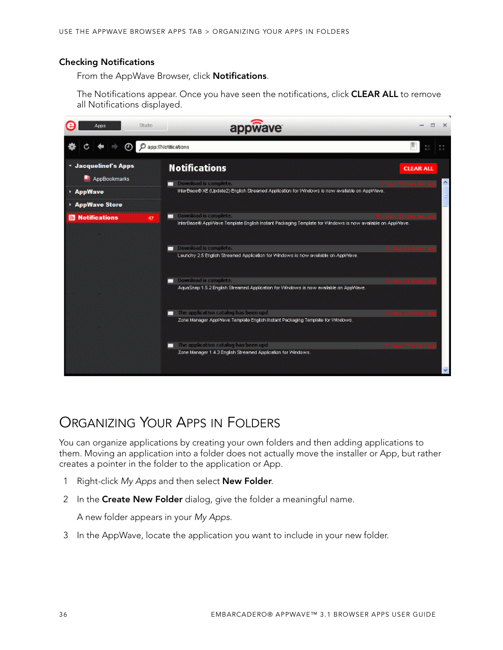#### **Checking Notifications**

<span id="page-35-3"></span>From the AppWave Browser, click **Notifications**.

The Notifications appear. Once you have seen the notifications, click **CLEAR ALL** to remove all Notifications displayed.



### <span id="page-35-0"></span>ORGANIZING YOUR APPS IN FOLDERS

You can organize applications by creating your own folders and then adding applications to them. Moving an application into a folder does not actually move the installer or App, but rather creates a pointer in the folder to the application or App.

- 1 Right-click My Apps and then select **New Folder**.
- 2 In the **Create New Folder** dialog, give the folder a meaningful name.

<span id="page-35-2"></span><span id="page-35-1"></span>A new folder appears in your My Apps.

3 In the AppWave, locate the application you want to include in your new folder.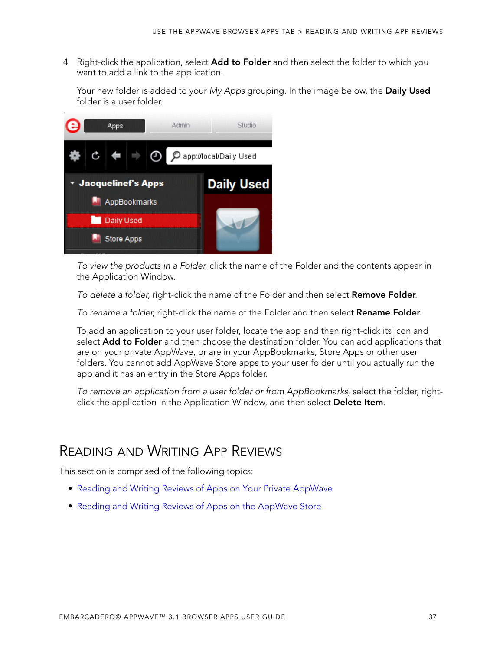4 Right-click the application, select **Add to Folder** and then select the folder to which you want to add a link to the application.

Your new folder is added to your My Apps grouping. In the image below, the **Daily Used** folder is a user folder.



To view the products in a Folder, click the name of the Folder and the contents appear in the Application Window.

<span id="page-36-2"></span>To delete a folder, right-click the name of the Folder and then select **Remove Folder**.

<span id="page-36-3"></span>To rename a folder, right-click the name of the Folder and then select **Rename Folder**.

To add an application to your user folder, locate the app and then right-click its icon and select **Add to Folder** and then choose the destination folder. You can add applications that are on your private AppWave, or are in your AppBookmarks, Store Apps or other user folders. You cannot add AppWave Store apps to your user folder until you actually run the app and it has an entry in the Store Apps folder.

<span id="page-36-1"></span>To remove an application from a user folder or from AppBookmarks, select the folder, rightclick the application in the Application Window, and then select **Delete Item**.

### <span id="page-36-0"></span>READING AND WRITING APP REVIEWS

This section is comprised of the following topics:

- [Reading and Writing Reviews of Apps on Your Private AppWave](#page-37-0)
- [Reading and Writing Reviews of Apps on the AppWave Store](#page-41-0)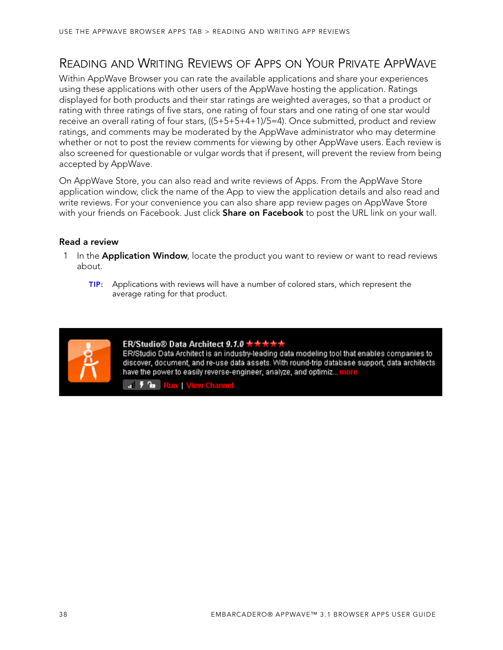### <span id="page-37-0"></span>READING AND WRITING REVIEWS OF APPS ON YOUR PRIVATE APPWAVE

Within AppWave Browser you can rate the available applications and share your experiences using these applications with other users of the AppWave hosting the application. Ratings displayed for both products and their star ratings are weighted averages, so that a product or rating with three ratings of five stars, one rating of four stars and one rating of one star would receive an overall rating of four stars, ((5+5+5+4+1)/5=4). Once submitted, product and review ratings, and comments may be moderated by the AppWave administrator who may determine whether or not to post the review comments for viewing by other AppWave users. Each review is also screened for questionable or vulgar words that if present, will prevent the review from being accepted by AppWave.

<span id="page-37-1"></span>On AppWave Store, you can also read and write reviews of Apps. From the AppWave Store application window, click the name of the App to view the application details and also read and write reviews. For your convenience you can also share app review pages on AppWave Store with your friends on Facebook. Just click **Share on Facebook** to post the URL link on your wall.

#### **Read a review**

- 1 In the **Application Window**, locate the product you want to review or want to read reviews about.
	- **TIP:** Applications with reviews will have a number of colored stars, which represent the average rating for that product.



#### ER/Studio® Data Architect 9.1.0 \* \* \* \*

ER/Studio Data Architect is an industry-leading data modeling tool that enables companies to discover, document, and re-use data assets. With round-trip database support, data architects have the power to easily reverse-engineer, analyze, and optimiz... more

al **₹ ใa** Run | View Channel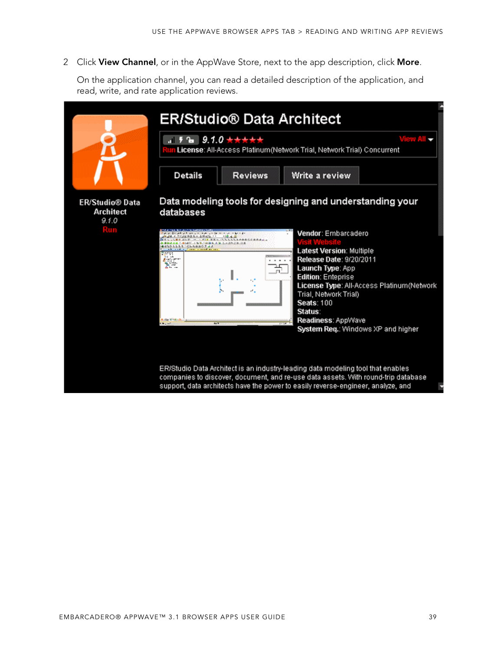2 Click **View Channel**, or in the AppWave Store, next to the app description, click **More**.

<span id="page-38-2"></span><span id="page-38-1"></span><span id="page-38-0"></span>On the application channel, you can read a detailed description of the application, and read, write, and rate application reviews.

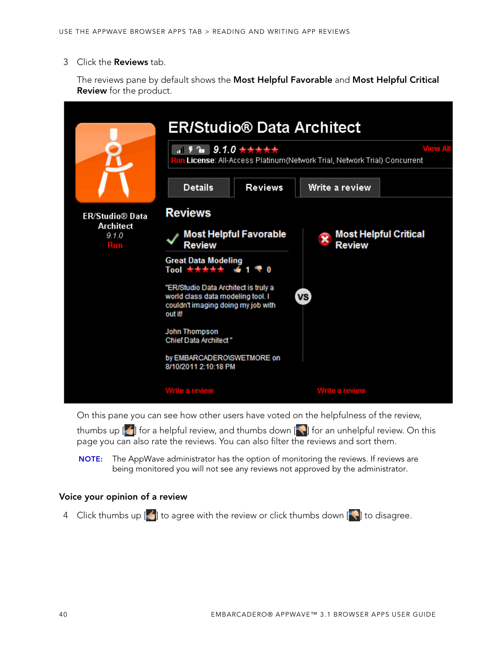#### 3 Click the **Reviews** tab.

<span id="page-39-0"></span>The reviews pane by default shows the **Most Helpful Favorable** and **Most Helpful Critical Review** for the product.

|                                         | <b>ER/Studio® Data Architect</b><br>』 テ?m 9.1.0 ★★★★★                                                                      | <b>View All</b><br>Run License: All-Access Platinum(Network Trial, Network Trial) Concurrent |
|-----------------------------------------|----------------------------------------------------------------------------------------------------------------------------|----------------------------------------------------------------------------------------------|
|                                         | <b>Details</b><br><b>Reviews</b>                                                                                           | Write a review                                                                               |
| <b>ER/Studio® Data</b>                  | <b>Reviews</b>                                                                                                             |                                                                                              |
| <b>Architect</b><br>9.1.0<br><b>Run</b> | <b>Most Helpful Favorable</b><br><b>Review</b>                                                                             | <b>Most Helpful Critical</b><br>$\overline{\mathbf{x}}$<br><b>Review</b>                     |
|                                         | <b>Great Data Modeling</b><br>Tool <del>★★★★★</del> ● 1 ♥ 0                                                                |                                                                                              |
|                                         | "ER/Studio Data Architect is truly a<br>world class data modeling tool. I<br>couldn't imaging doing my job with<br>out it! | <b>VS</b>                                                                                    |
|                                         | <b>John Thompson</b><br>Chief Data Architect"                                                                              |                                                                                              |
|                                         | by EMBARCADERO\SWETMORE on<br>8/10/2011 2:10:18 PM                                                                         |                                                                                              |
|                                         | Write a review                                                                                                             | Write a review                                                                               |

On this pane you can see how other users have voted on the helpfulness of the review,

thumbs up  $\lfloor \blacktriangle \rfloor$  for a helpful review, and thumbs down  $\lfloor \blacktriangle \rfloor$  for an unhelpful review. On this page you can also rate the reviews. You can also filter the reviews and sort them.

<span id="page-39-2"></span><span id="page-39-1"></span>**NOTE:** The AppWave administrator has the option of monitoring the reviews. If reviews are being monitored you will not see any reviews not approved by the administrator.

### **Voice your opinion of a review**

4 Click thumbs up  $\lceil \cdot \rceil$  to agree with the review or click thumbs down  $\lceil \cdot \rceil$  to disagree.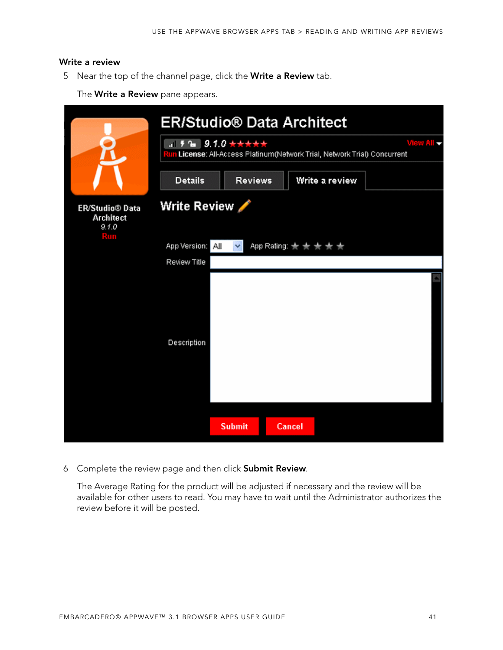#### **Write a review**

5 Near the top of the channel page, click the **Write a Review** tab.

<span id="page-40-2"></span><span id="page-40-0"></span>The **Write a Review** pane appears.

|                                                          | <b>ER/Studio® Data Architect</b><br>$.5a$ 3.1.0 $\star\star\star\star\star$<br><mark>un License</mark> : All-Access Platinum(Network Trial, Network Trial) Concurrent |                |                       |                | View All ~ |
|----------------------------------------------------------|-----------------------------------------------------------------------------------------------------------------------------------------------------------------------|----------------|-----------------------|----------------|------------|
|                                                          | <b>Details</b>                                                                                                                                                        | <b>Reviews</b> |                       | Write a review |            |
| ER/Studio <sup>®</sup> Data<br><b>Architect</b><br>9.1.0 | Write Review                                                                                                                                                          |                |                       |                |            |
| Run                                                      | App Version: All                                                                                                                                                      |                | App Rating: ★ ★ ★ ★ ★ |                |            |
|                                                          | Review Title                                                                                                                                                          |                |                       |                |            |
|                                                          | Description                                                                                                                                                           |                |                       |                |            |
|                                                          |                                                                                                                                                                       | <b>Submit</b>  | <b>Cancel</b>         |                |            |

6 Complete the review page and then click **Submit Review**.

<span id="page-40-1"></span>The Average Rating for the product will be adjusted if necessary and the review will be available for other users to read. You may have to wait until the Administrator authorizes the review before it will be posted.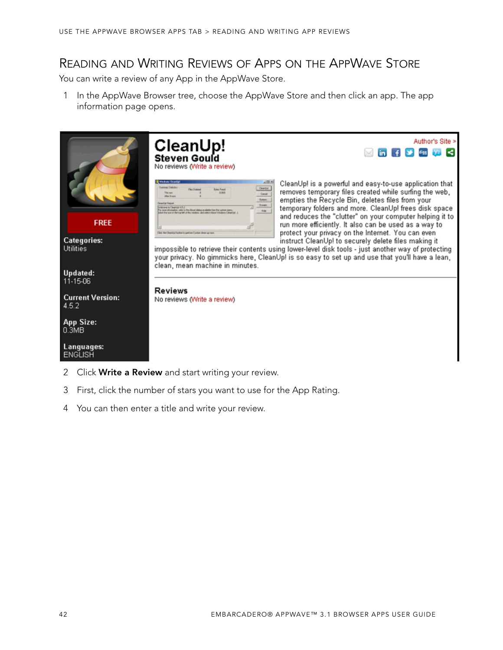### <span id="page-41-0"></span>READING AND WRITING REVIEWS OF APPS ON THE APPWAVE STORE

You can write a review of any App in the AppWave Store.

1 In the AppWave Browser tree, choose the AppWave Store and then click an app. The app information page opens.



- 2 Click **Write a Review** and start writing your review.
- 3 First, click the number of stars you want to use for the App Rating.
- 4 You can then enter a title and write your review.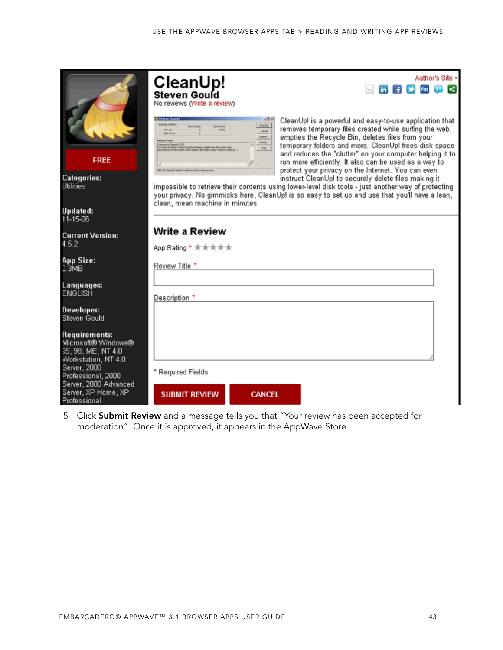|                                                                   | CleanUp!<br>Steven Gould<br>No reviews (Write a review)                                                                                                                                                                                                                                             |                                                             |                                                                                                                                                                                                                                                                                            | in. | $\mathbf{v}$ | Author's Site ><br>digg | K |
|-------------------------------------------------------------------|-----------------------------------------------------------------------------------------------------------------------------------------------------------------------------------------------------------------------------------------------------------------------------------------------------|-------------------------------------------------------------|--------------------------------------------------------------------------------------------------------------------------------------------------------------------------------------------------------------------------------------------------------------------------------------------|-----|--------------|-------------------------|---|
|                                                                   | C Windows Cloud in<br><b>Eyres Press</b><br>This way<br>EVAN<br>Allan II sure<br><b>Search &amp; Forcest</b><br>Acone to CloarUpt 4/5/2<br>now internation, refer to the Mood datag analytic from the system or                                                                                     | $n$ El M<br>Clearing<br>Earcel<br>Sylem.<br>Donate.<br>mag. | CleanUp! is a powerful and easy-to-use application that<br>removes temporary files created while surfing the web,<br>empties the Recycle Bin, deletes files from your<br>temporary folders and more. CleanUp! frees disk space<br>and reduces the "clutter" on your computer helping it to |     |              |                         |   |
| <b>FREE</b>                                                       |                                                                                                                                                                                                                                                                                                     |                                                             | run more efficiently. It also can be used as a way to                                                                                                                                                                                                                                      |     |              |                         |   |
| Categories:<br>Utilities                                          | Dick, the Churchal button to perform Custom shows up no<br>impossible to retrieve their contents using lower-level disk tools - just another way of protecting<br>your privacy. No gimmicks here, CleanUp! is so easy to set up and use that you'll have a lean,<br>clean, mean machine in minutes. |                                                             | protect your privacy on the Internet. You can even<br>instruct CleanUp! to securely delete files making it                                                                                                                                                                                 |     |              |                         |   |
| <b>Updated:</b><br>11-15-06                                       |                                                                                                                                                                                                                                                                                                     |                                                             |                                                                                                                                                                                                                                                                                            |     |              |                         |   |
| <b>Current Version:</b><br>4.5.2                                  | Write a Review                                                                                                                                                                                                                                                                                      |                                                             |                                                                                                                                                                                                                                                                                            |     |              |                         |   |
|                                                                   | App Rating * <b>* * * * *</b> *                                                                                                                                                                                                                                                                     |                                                             |                                                                                                                                                                                                                                                                                            |     |              |                         |   |
| <b>App Size:</b><br>3.3MB                                         | Review Title *                                                                                                                                                                                                                                                                                      |                                                             |                                                                                                                                                                                                                                                                                            |     |              |                         |   |
| Languages:                                                        |                                                                                                                                                                                                                                                                                                     |                                                             |                                                                                                                                                                                                                                                                                            |     |              |                         |   |
| ENGLISH                                                           | Description *                                                                                                                                                                                                                                                                                       |                                                             |                                                                                                                                                                                                                                                                                            |     |              |                         |   |
|                                                                   |                                                                                                                                                                                                                                                                                                     |                                                             |                                                                                                                                                                                                                                                                                            |     |              |                         |   |
| Developer:<br>Steven Gould                                        |                                                                                                                                                                                                                                                                                                     |                                                             |                                                                                                                                                                                                                                                                                            |     |              |                         |   |
| <b>Requirements:</b><br>Microsoft® Windows®<br>35, 98, ME, NT 4.0 |                                                                                                                                                                                                                                                                                                     |                                                             |                                                                                                                                                                                                                                                                                            |     |              |                         |   |
| Workstation, NT 4.0                                               |                                                                                                                                                                                                                                                                                                     |                                                             |                                                                                                                                                                                                                                                                                            |     |              |                         |   |
| Server, 2000<br>Professional, 2000<br>Server, 2000 Advanced       | * Required Fields                                                                                                                                                                                                                                                                                   |                                                             |                                                                                                                                                                                                                                                                                            |     |              |                         |   |
| Server, XP Home, XP<br>Professional                               | <b>SUBMIT REVIEW</b>                                                                                                                                                                                                                                                                                | <b>CANCEL</b>                                               |                                                                                                                                                                                                                                                                                            |     |              |                         |   |

5 Click **Submit Review** and a message tells you that "Your review has been accepted for moderation". Once it is approved, it appears in the AppWave Store.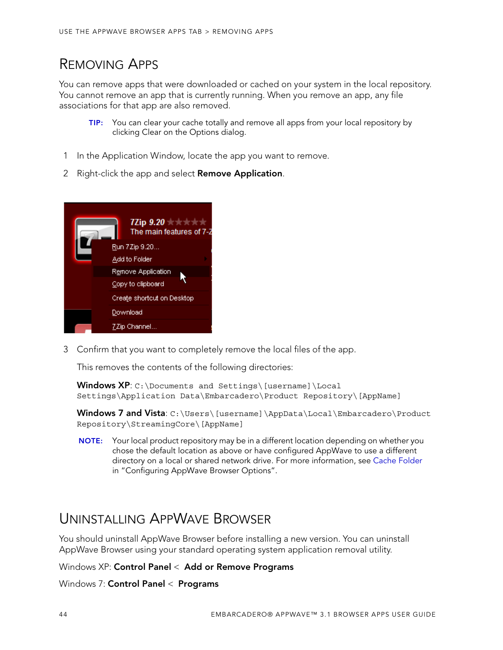### <span id="page-43-0"></span>REMOVING APPS

You can remove apps that were downloaded or cached on your system in the local repository. You cannot remove an app that is currently running. When you remove an app, any file associations for that app are also removed.

- <span id="page-43-2"></span>**TIP:** You can clear your cache totally and remove all apps from your local repository by clicking Clear on the Options dialog.
- 1 In the Application Window, locate the app you want to remove.
- 2 Right-click the app and select **Remove Application**.



3 Confirm that you want to completely remove the local files of the app.

This removes the contents of the following directories:

**Windows XP:** C:\Documents and Settings\[username]\Local Settings\Application Data\Embarcadero\Product Repository\[AppName]

**Windows 7 and Vista**: C:\Users\[username]\AppData\Local\Embarcadero\Product Repository\StreamingCore\[AppName]

**NOTE:** Your local product repository may be in a different location depending on whether you chose the default location as above or have configured AppWave to use a different directory on a local or shared network drive. For more information, see [Cache Folder](#page-9-0) in "Configuring AppWave Browser Options".

### <span id="page-43-1"></span>UNINSTALLING APPWAVE BROWSER

You should uninstall AppWave Browser before installing a new version. You can uninstall AppWave Browser using your standard operating system application removal utility.

Windows XP: **Control Panel** < **Add or Remove Programs**

Windows 7: **Control Panel** < **Programs**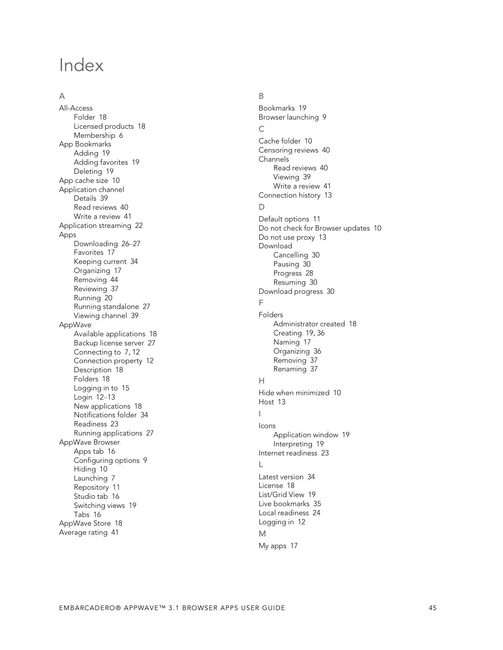## <span id="page-44-0"></span>Index

A

All-Access Folder [18](#page-17-0) Licensed products [18](#page-17-0) Membership [6](#page-5-0) App Bookmarks Adding [19](#page-18-0) Adding favorites [19](#page-18-1) Deleting [19](#page-18-0) App cache size [10](#page-9-1) Application channel Details [39](#page-38-0) Read reviews [40](#page-39-0) Write a review [41](#page-40-0) Application streaming [22](#page-21-1) Apps Downloading [26](#page-25-3)–[27](#page-26-0) Favorites [17](#page-16-0) Keeping current [34](#page-33-1) Organizing [17](#page-16-1) Removing [44](#page-43-2) Reviewing [37](#page-36-1) Running [20](#page-19-0) Running standalone [27](#page-26-1) Viewing channel [39](#page-38-1) AppWave Available applications [18](#page-17-1) Backup license server [27](#page-26-2) Connecting to [7](#page-6-3), [12](#page-11-1) Connection property [12](#page-11-2) Description [18](#page-17-1) Folders [18](#page-17-2) Logging in to [15](#page-14-2) Login [12](#page-11-3)–[13](#page-12-0) New applications [18](#page-17-1) Notifications folder [34](#page-33-2) Readiness [23](#page-22-1) Running applications [27](#page-26-2) AppWave Browser Apps tab [16](#page-15-1) Configuring options [9](#page-8-3) Hiding [10](#page-9-2) Launching [7](#page-6-4) Repository [11](#page-10-0) Studio tab [16](#page-15-2) Switching views [19](#page-18-2) Tabs [16](#page-15-3) AppWave Store [18](#page-17-3) Average rating [41](#page-40-1)

B Bookmarks [19](#page-18-3) Browser launching [9](#page-8-4)  $\mathsf{C}$ Cache folder [10](#page-9-3) Censoring reviews [40](#page-39-1) Channels Read reviews [40](#page-39-0) Viewing [39](#page-38-1) Write a review [41](#page-40-0) Connection history [13](#page-12-1) D Default options [11](#page-10-1) Do not check for Browser updates [10](#page-9-4) Do not use proxy [13](#page-12-2) Download Cancelling [30](#page-29-2) Pausing [30](#page-29-2) Progress [28](#page-27-0) Resuming [30](#page-29-2) Download progress [30](#page-29-3) F Folders Administrator created [18](#page-17-4) Creating [19](#page-18-4), [36](#page-35-1) Naming [17](#page-16-1) Organizing [36](#page-35-2) Removing [37](#page-36-2) Renaming [37](#page-36-3) H Hide when minimized [10](#page-9-2) Host [13](#page-12-3) I Icons Application window [19](#page-18-5) Interpreting [19](#page-18-5) Internet readiness [23](#page-22-2)  $\mathbf{L}$ Latest version [34](#page-33-1) License [18](#page-17-0) List/Grid View [19](#page-18-6) Live bookmarks [35](#page-34-0) Local readiness [24](#page-23-1) Logging in [12](#page-11-4) M

My apps [17](#page-16-2)